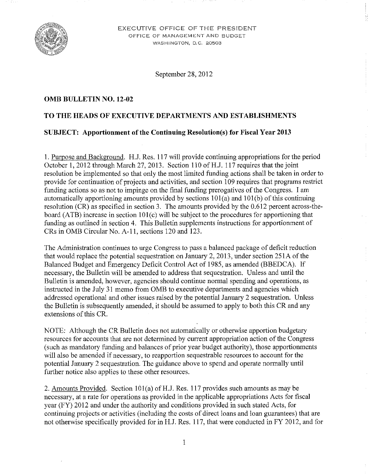

EXECUTIVE OFFICE OF THE PRESIDENT OFFICE OF MANAGEMENT AND BUDGET WASHINGTON, D.C. 20503

September 28, 2012

#### **OMB BULLETIN NO. 12-02**

#### **TO THE HEADS OF EXECUTIVE DEPARTMENTS AND ESTABLISHMENTS**

#### **SUBJECT: Apportionment of the Continuing Resolution(s) for Fiscal Year 2013**

I. Purpose and Background. R.J. Res. 117 will provide continuing appropriations for the period October 1, 2012 through March 27, 2013. Section 110 of H.J. 117 requires that the joint resolution be implemented so that only the most limited funding actions shall be taken in order to provide for continuation of projects and activities, and section 109 requires that programs restrict funding actions so as not to impinge on the final funding prerogatives of the Congress. I am automatically apportioning amounts provided by sections 101(a) and 101(b) of this continuing resolution (CR) as specified in section 3. The amounts provided by the 0.612 percent across-theboard (ATB) increase in section 101(c) will be subject to the procedures for apportioning that funding as outlined in section 4. This Bulletin supplements instructions for apportionment of CRs in OMB Circular No. A-II, sections 120 and 123.

The Administration continues to urge Congress to pass a balanced package of deficit reduction that would replace the potential sequestration on January 2, 2013, under section 251A of the Balanced Budget and Emergency Deficit Control Act of 1985, as amended (BBEDCA). If necessary, the Bulletin will be amended to address that sequestration. Unless and until the Bulletin is amended, however, agencies should continue normal spending and operations, as instructed in the July 31 memo from OMB to executive departments and agencies which addressed operational and other issues raised by the potential January 2 sequestration. Unless the Bulletin is subsequently amended, it should be assumed to apply to both this CR and any extensions of this CR.

NOTE: Although the CR Bulletin does not automatically or otherwise apportion budgetary resources for accounts that are not determined by current appropriation action of the Congress (such as mandatory funding and balances of prior year budget authority), those apportionments will also be amended if necessary, to reapportion sequestrable resources to account for the potential January 2 sequestration. The guidance above to spend and operate normally until further notice also applies to these other resources.

2. Amounts Provided. Section  $101(a)$  of H.J. Res. 117 provides such amounts as may be necessary, at a rate for operations as provided in the applicable appropriations Acts for fiscal year (FY) 2012 and under the authority and conditions provided in such stated Acts, for continuing projects or activities (including the costs of direct loans and loan guarantees) that are not otherwise specifically provided for in R,J. Res. 117, that were conducted in FY 2012, and for

I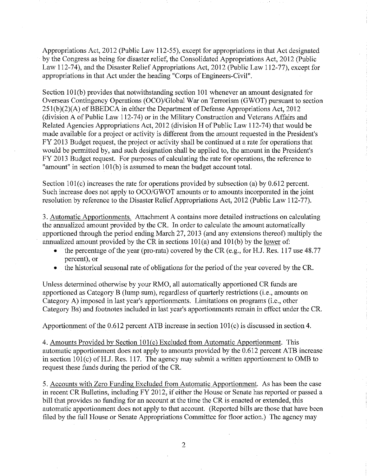Appropriations Act, 2012 (Public Law 112-55), except for appropriations in that Act designated by the Congress as being for disaster relief, the Consolidated Appropriations Act, 2012 (Public Law 112-74), and the Disaster Relief Appropriations Act, 2012 (Public Law 112-77), except for appropriations in that Act under the heading "Corps of Engineers-Civil".

Section 101(b) provides that notwithstanding section 101 whenever an amount designated for Overseas Contingency Operations *(OCO)/Global* War on Terrorism (GWOT) pursuant to section  $251(b)(2)(A)$  of BBEDCA in either the Department of Defense Appropriations Act, 2012 (division A of Public Law 112-74) or in the Military Construction and Veterans Affairs and Related Agencies Appropriations Act, 2012 (division H of Public Law 112-74) that would be made available for a project or activity is different from the amount requested in the President's FY 2013 Budget request, the project or activity shall be continued at a rate for operations that would be permitted by, and such designation shall be applied to, the amount in the President's FY 2013 Budget request. For purposes of calculating the rate for operations, the reference to "amount" in section 101(b) is assumed to mean the budget account total.

Section 101(c) increases the rate for operations provided by subsection (a) by 0.612 percent. Such increase does not apply to *OCO/GWOT* amounts or to amounts incorporated in the joint resolution by reference to the Disaster Relief Appropriations Act, 2012 (Public Law 112-77).

3. Automatic Apportionments. Attachment A contains more detailed instructions on calculating the annualized amount provided by the CR. In order to calculate the amount automatically apportioned through the period ending March 27, 2013 (and any extensions thereof) multiply the annualized amount provided by the CR in sections  $101(a)$  and  $101(b)$  by the lower of:

- the percentage of the year (pro-rata) covered by the CR (e.g., for H.J. Res. 117 use  $48.77$ percent), or
- the historical seasonal rate of obligations for the period of the year covered by the CR.

Unless determined otherwise by your RMO, all automatically apportioned CR funds are apportioned as Category B (lump sum), regardless of quarterly restrictions (i.e., amounts on Category A) imposed in last year's apportionments. Limitations on programs (i.e., other Category Bs) and footnotes included in last year's apportionments remain in effect under the CR.

Apportionment of the 0.612 percent ATB increase in section 101(c) is discussed in section 4.

4. Amounts Provided by Section 101(c) Excluded from Automatic Apportionment. This automatic apportionment does not apply to amounts provided by the 0.612 percent ATB increase in section  $101(c)$  of H.J. Res. 117. The agency may submit a written apportionment to OMB to request these funds during the period of the CR.

5. Accounts with Zero Funding Excluded from Automatic Apportionment. As has been the case in recent CR Bulletins, including FY 2012, if either the House or Senate has reported or passed a bill that provides no funding for an account at the time the CR is enacted or extended, this automatic apportionment does not apply to that account. (Reported bills are those that have been filed by the full House or Senate Appropriations Committee for floor action.) The agency may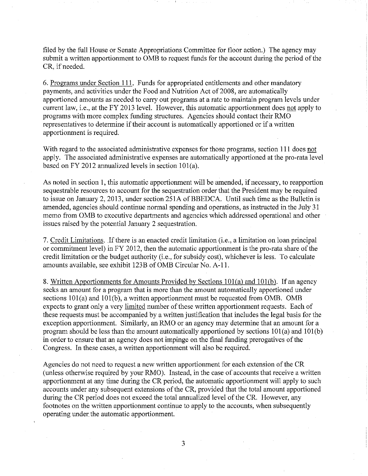filed by the full House or Senate Appropriations Committee for floor action.) The agency may submit a written apportionment to OMB to request funds for the account during the period of the CR, if needed.

6. Programs under Section 111. Funds for appropriated entitlements and other mandatory payments, and activities under the Food and Nutrition Act of 2008, are automatically apportioned amounts as needed to carry out programs at a rate to maintain program levels under current law, i.e., at the FY 2013 level. However, this automatic apportionment does not apply to programs with more complex funding structures. Agencies should contact their RMO representatives to determine if their account is automatically apportioned or if a written apportionment is required.

With regard to the associated administrative expenses for those programs, section **111** does not apply. The associated administrative expenses are automatically apportioned at the pro-rata level based on FY 2012 annualized levels in section 101(a).

As noted in section 1, this automatic apportionment will be amended, if necessary, to reapportion sequestrable resources to account for the sequestration order that the President may be required to issue on January 2, 2013, under section 251A of BBEDCA. Until such time as the Bulletin is amended, agencies should continue normal spending and operations, as instructed in the July 31 memo from OMB to executive departments and agencies which addressed operational and other issues raised by the potential January 2 sequestration.

7. Credit Limitations. If there is an enacted credit limitation (i.e., a limitation on loan principal or commitment level) in  $FY$  2012, then the automatic apportionment is the pro-rata share of the credit limitation or the budget authority (i.e., for subsidy cost), whichever is less. To calculate amounts available, see exhibit 123B of OMB Circular No. A-II.

8. Written Apportionments for Amounts Provided by Sections 101(a) and 101(b). If an agency seeks an amount for a program that is more than the amount automatically apportioned under sections 101(a) and 101(b), a written apportionment must be requested from OMB. OMB expects to grant only a very limited number of these written apportionment requests. Each of these requests must be accompanied by a written justification that includes the legal basis for the exception apportionment. Similarly, an RMO or an agency may determine that an amount for a program should be less than the amount automatically apportioned by sections 101(a) and 101(b) in order to ensure that an agency does not impinge on the final funding prerogatives of the Congress. In these cases, a written apportionment will also be required.

Agencies do not need to request a new written apportionment for each extension of the CR (unless otherwise required by your RMO). Instead, in the case of accounts that receive a written apportionment at any time during the CR period, the automatic apportionment will apply to such accounts under any subsequent extensions of the CR, provided that the total amount apportioned during the CR period does not exceed the total annualized level of the CR. However, any footnotes on the written apportionment continue to apply to the accounts, when subsequently operating under the automatic apportionment.

3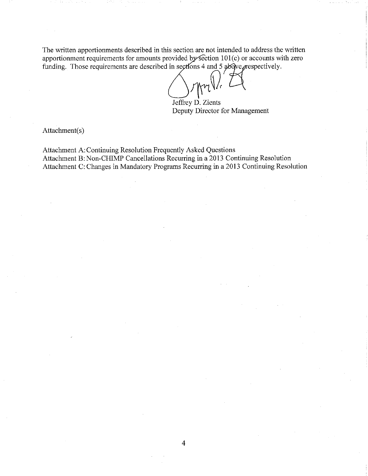The written apportionments described in this section are not intended to address the written apportionment requirements for amounts provided by section  $101(c)$  or accounts with zero funding. Those requirements are described in sections 4 and 5  $\frac{1}{2}$   $\frac{1}{2}$   $\frac{1}{2}$   $\frac{1}{2}$   $\frac{1}{2}$   $\frac{1}{2}$   $\frac{1}{2}$   $\frac{1}{2}$   $\frac{1}{2}$   $\frac{1}{2}$   $\frac{1}{2}$   $\frac{1}{2}$   $\frac{1}{2}$   $\frac{1}{2}$   $\frac{1}{2}$   $\frac{1}{2}$ 

Jeffrey D. Zients Deputy Director for Management

Attachment(s)

Attachment A: Continuing Resolution Frequently Asked Questions Attachment B: Non-CHIMP Cancellations Recurring in a 2013 Continuing Resolution Attachment C: Changes in Mandatory Programs Recurring in a 2013 Continuing Resolution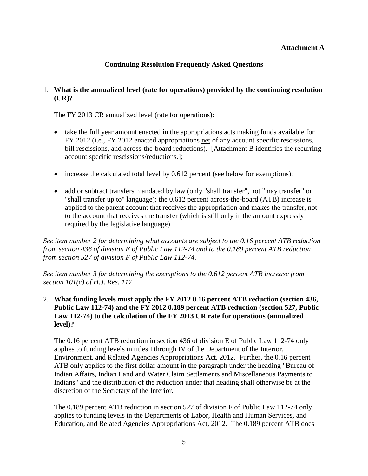### **Attachment A**

## **Continuing Resolution Frequently Asked Questions**

## 1. **What is the annualized level (rate for operations) provided by the continuing resolution (CR)?**

The FY 2013 CR annualized level (rate for operations):

- take the full year amount enacted in the appropriations acts making funds available for FY 2012 (i.e., FY 2012 enacted appropriations net of any account specific rescissions, bill rescissions, and across-the-board reductions). [Attachment B identifies the recurring account specific rescissions/reductions.];
- increase the calculated total level by 0.612 percent (see below for exemptions);
- add or subtract transfers mandated by law (only "shall transfer", not "may transfer" or "shall transfer up to" language); the 0.612 percent across-the-board (ATB) increase is applied to the parent account that receives the appropriation and makes the transfer, not to the account that receives the transfer (which is still only in the amount expressly required by the legislative language).

*See item number 2 for determining what accounts are subject to the 0.16 percent ATB reduction from section 436 of division E of Public Law 112-74 and to the 0.189 percent ATB reduction from section 527 of division F of Public Law 112-74.* 

 *See item number 3 for determining the exemptions to the 0.612 percent ATB increase from section 101(c) of H.J. Res. 117.* 

 **Public Law 112-74) and the FY 2012 0.189 percent ATB reduction (section 527, Public**  2. **What funding levels must apply the FY 2012 0.16 percent ATB reduction (section 436, Law 112-74) to the calculation of the FY 2013 CR rate for operations (annualized level)?** 

 applies to funding levels in titles I through IV of the Department of the Interior, Environment, and Related Agencies Appropriations Act, 2012. Further, the 0.16 percent The 0.16 percent ATB reduction in section 436 of division E of Public Law 112-74 only ATB only applies to the first dollar amount in the paragraph under the heading "Bureau of Indian Affairs, Indian Land and Water Claim Settlements and Miscellaneous Payments to Indians" and the distribution of the reduction under that heading shall otherwise be at the discretion of the Secretary of the Interior.

The 0.189 percent ATB reduction in section 527 of division F of Public Law 112-74 only applies to funding levels in the Departments of Labor, Health and Human Services, and Education, and Related Agencies Appropriations Act, 2012. The 0.189 percent ATB does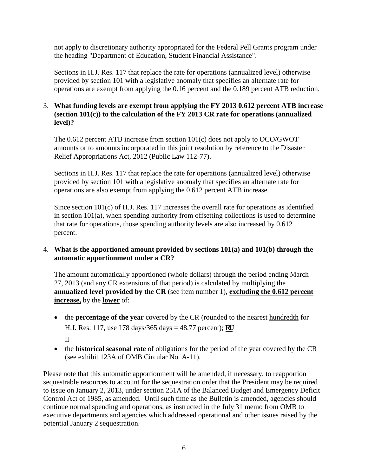not apply to discretionary authority appropriated for the Federal Pell Grants program under the heading "Department of Education, Student Financial Assistance".

 provided by section 101 with a legislative anomaly that specifies an alternate rate for Sections in H.J. Res. 117 that replace the rate for operations (annualized level) otherwise operations are exempt from applying the 0.16 percent and the 0.189 percent ATB reduction.

## 3. **What funding levels are exempt from applying the FY 2013 0.612 percent ATB increase (section 101(c)) to the calculation of the FY 2013 CR rate for operations (annualized level)?**

The 0.612 percent ATB increase from section 101(c) does not apply to OCO/GWOT amounts or to amounts incorporated in this joint resolution by reference to the Disaster Relief Appropriations Act, 2012 (Public Law 112-77).

 provided by section 101 with a legislative anomaly that specifies an alternate rate for operations are also exempt from applying the 0.612 percent ATB increase. Sections in H.J. Res. 117 that replace the rate for operations (annualized level) otherwise

 in section 101(a), when spending authority from offsetting collections is used to determine percent. Since section 101(c) of H.J. Res. 117 increases the overall rate for operations as identified that rate for operations, those spending authority levels are also increased by 0.612

## 4. What is the apportioned amount provided by sections 101(a) and 101(b) through the **automatic apportionment under a CR?**

 The amount automatically apportioned (whole dollars) through the period ending March 27, 2013 (and any CR extensions of that period) is calculated by multiplying the **increase,** by the **lower** of: **annualized level provided by the CR** (see item number 1), **excluding the 0.612 percent** 

- the **percentage of the year** covered by the CR (rounded to the nearest **hundredth** for H.J. Res. 117, use 378 days/365 days = 48.77 percent); **qt**  $\overline{\mathbf{u}}$
- the **historical seasonal rate** of obligations for the period of the year covered by the CR (see exhibit 123A of OMB Circular No. A-11).

 sequestrable resources to account for the sequestration order that the President may be required to issue on January 2, 2013, under section 251A of the Balanced Budget and Emergency Deficit executive departments and agencies which addressed operational and other issues raised by the potential January 2 sequestration. Please note that this automatic apportionment will be amended, if necessary, to reapportion Control Act of 1985, as amended. Until such time as the Bulletin is amended, agencies should continue normal spending and operations, as instructed in the July 31 memo from OMB to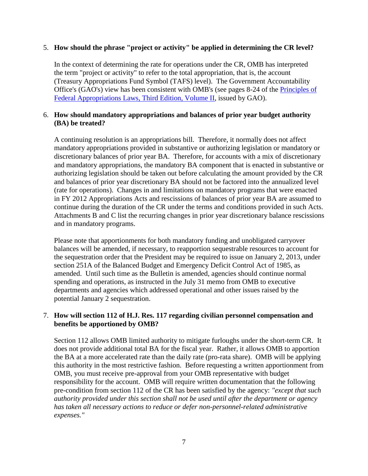### 5. **How should the phrase "project or activity" be applied in determining the CR level?**

Office's (GAO's) view has been consistent with OMB's (see pages 8-24 of the *Principles of* In the context of determining the rate for operations under the CR, OMB has interpreted the term "project or activity" to refer to the total appropriation, that is, the account (Treasury Appropriations Fund Symbol (TAFS) level). The Government Accountability [Federal Appropriations Laws, Third Edition, Volume II,](http://www.gao.gov/special.pubs/d06382sp.pdf) issued by GAO).

### 6. **How should mandatory appropriations and balances of prior year budget authority (BA) be treated?**

 mandatory appropriations provided in substantive or authorizing legislation or mandatory or discretionary balances of prior year BA. Therefore, for accounts with a mix of discretionary and balances of prior year discretionary BA should not be factored into the annualized level in FY 2012 Appropriations Acts and rescissions of balances of prior year BA are assumed to Attachments B and C list the recurring changes in prior year discretionary balance rescissions and in mandatory programs. A continuing resolution is an appropriations bill. Therefore, it normally does not affect and mandatory appropriations, the mandatory BA component that is enacted in substantive or authorizing legislation should be taken out before calculating the amount provided by the CR (rate for operations). Changes in and limitations on mandatory programs that were enacted continue during the duration of the CR under the terms and conditions provided in such Acts.

 Please note that apportionments for both mandatory funding and unobligated carryover balances will be amended, if necessary, to reapportion sequestrable resources to account for the sequestration order that the President may be required to issue on January 2, 2013, under section 251A of the Balanced Budget and Emergency Deficit Control Act of 1985, as amended. Until such time as the Bulletin is amended, agencies should continue normal spending and operations, as instructed in the July 31 memo from OMB to executive departments and agencies which addressed operational and other issues raised by the potential January 2 sequestration.

## 7. **How will section 112 of H.J. Res. 117 regarding civilian personnel compensation and benefits be apportioned by OMB?**

 Section 112 allows OMB limited authority to mitigate furloughs under the short-term CR. It  *expenses."* does not provide additional total BA for the fiscal year. Rather, it allows OMB to apportion the BA at a more accelerated rate than the daily rate (pro-rata share). OMB will be applying this authority in the most restrictive fashion. Before requesting a written apportionment from OMB, you must receive pre-approval from your OMB representative with budget responsibility for the account. OMB will require written documentation that the following pre-condition from section 112 of the CR has been satisfied by the agency: *"except that such authority provided under this section shall not be used until after the department or agency has taken all necessary actions to reduce or defer non-personnel-related administrative*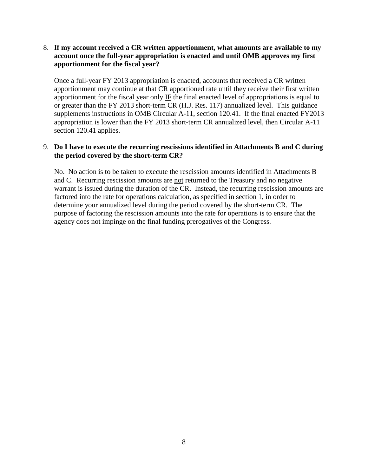### **account once the full-year appropriation is enacted and until OMB approves my first**  8. **If my account received a CR written apportionment, what amounts are available to my apportionment for the fiscal year?**

 apportionment may continue at that CR apportioned rate until they receive their first written apportionment for the fiscal year only  $I\bar{F}$  the final enacted level of appropriations is equal to or greater than the FY 2013 short-term CR (H.J. Res. 117) annualized level. This guidance section 120.41 applies. Once a full-year FY 2013 appropriation is enacted, accounts that received a CR written supplements instructions in OMB Circular A-11, section 120.41. If the final enacted FY2013 appropriation is lower than the FY 2013 short-term CR annualized level, then Circular A-11

### 9. **Do I have to execute the recurring rescissions identified in Attachments B and C during the period covered by the short-term CR?**

and C. Recurring rescission amounts are not returned to the Treasury and no negative warrant is issued during the duration of the CR. Instead, the recurring rescission amounts are determine your annualized level during the period covered by the short-term CR. The agency does not impinge on the final funding prerogatives of the Congress. No. No action is to be taken to execute the rescission amounts identified in Attachments B factored into the rate for operations calculation, as specified in section 1, in order to purpose of factoring the rescission amounts into the rate for operations is to ensure that the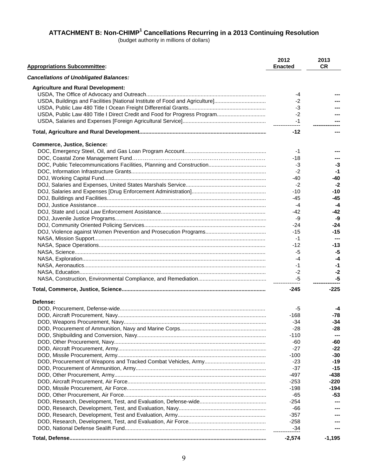(budget authority in millions of dollars)

| <b>Appropriations Subcommittee:</b>                                         | 2012<br><b>Enacted</b> | 2013<br><b>CR</b> |
|-----------------------------------------------------------------------------|------------------------|-------------------|
| <b>Cancellations of Unobligated Balances:</b>                               |                        |                   |
| <b>Agriculture and Rural Development:</b>                                   |                        |                   |
|                                                                             | -4                     |                   |
| USDA, Buildings and Facilities [National Institute of Food and Agriculture] | -2                     |                   |
|                                                                             | -3                     |                   |
|                                                                             | -2                     |                   |
|                                                                             | $-1$                   |                   |
|                                                                             | $-12$                  |                   |
| <b>Commerce, Justice, Science:</b>                                          |                        |                   |
|                                                                             | -1                     |                   |
|                                                                             | -18                    |                   |
|                                                                             | -3                     | $-3$              |
|                                                                             | -2                     | -1                |
|                                                                             | -40                    | -40               |
|                                                                             | $-2$                   | -2                |
|                                                                             | $-10$                  | -10               |
|                                                                             | -45                    | -45               |
|                                                                             | -4                     | -4                |
|                                                                             | -42                    | -42               |
|                                                                             | -9                     | -9                |
|                                                                             | -24                    | -24               |
|                                                                             | $-15$                  | $-15$             |
|                                                                             | -1                     | ---               |
|                                                                             |                        |                   |
|                                                                             | -12                    | -13               |
|                                                                             | -5                     | -5                |
|                                                                             | -4                     | -4                |
|                                                                             | -1                     | -1                |
|                                                                             | $-2$                   | -2                |
|                                                                             | -5                     | -5                |
|                                                                             | -245                   | $-225$            |
| Defense:                                                                    |                        |                   |
|                                                                             | -5                     | -4                |
|                                                                             | -168                   | $-78$             |
|                                                                             | -34                    | -34               |
|                                                                             | $-28$                  | $-28$             |
|                                                                             | -110                   |                   |
|                                                                             | -60                    | -60               |
|                                                                             | $-27$                  | $-22$             |
|                                                                             | $-100$                 | -30               |
|                                                                             | $-23$                  | -19               |
|                                                                             | $-37$                  | $-15$             |
|                                                                             | -497                   | $-438$            |
|                                                                             | $-253$                 | -220              |
|                                                                             | $-198$                 | -194              |
|                                                                             | -65                    | -53               |
|                                                                             | $-254$                 |                   |
|                                                                             | -66                    |                   |
|                                                                             | $-357$                 |                   |
|                                                                             | $-258$                 |                   |
|                                                                             | $-34$                  |                   |
|                                                                             | $-2,574$               | $-1,195$          |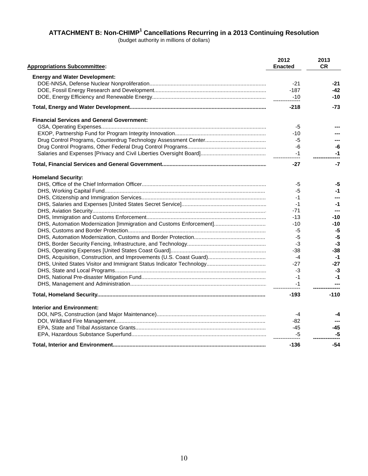(budget authority in millions of dollars)

| <b>Appropriations Subcommittee:</b>                                 | 2012<br><b>Enacted</b> | 2013<br><b>CR</b> |
|---------------------------------------------------------------------|------------------------|-------------------|
| <b>Energy and Water Development:</b>                                |                        |                   |
|                                                                     | $-21$                  | -21               |
|                                                                     | $-187$                 | -42               |
|                                                                     | $-10$                  | $-10$             |
|                                                                     | $-218$                 | -73               |
| <b>Financial Services and General Government:</b>                   |                        |                   |
|                                                                     | -5                     |                   |
|                                                                     | $-10$                  |                   |
|                                                                     | -5                     |                   |
|                                                                     | -6                     | -6                |
|                                                                     | $-1$                   | -1                |
|                                                                     |                        |                   |
|                                                                     | $-27$                  | $-7$              |
| <b>Homeland Security:</b>                                           |                        |                   |
|                                                                     | -5                     | -5                |
|                                                                     | -5                     | -1                |
|                                                                     | -1                     |                   |
|                                                                     | -1                     | $-1$              |
|                                                                     | -71                    | ---               |
|                                                                     | -13                    | $-10$             |
| DHS, Automation Modernization [Immigration and Customs Enforcement] | -10                    | $-10$             |
|                                                                     | -5                     | -5                |
|                                                                     | -5                     | -5                |
|                                                                     | -3                     | -3                |
|                                                                     | -38                    | -38               |
|                                                                     | $-4$                   | -1                |
|                                                                     | -27                    | $-27$             |
|                                                                     | -3                     | -3                |
|                                                                     | -1                     | -1                |
|                                                                     | -1                     |                   |
|                                                                     | $-193$                 | $-110$            |
| <b>Interior and Environment:</b>                                    |                        |                   |
|                                                                     | -4                     | -4                |
|                                                                     | -82                    |                   |
|                                                                     | $-45$                  | -45               |
|                                                                     | -5                     | -5                |
|                                                                     | -136                   | -54               |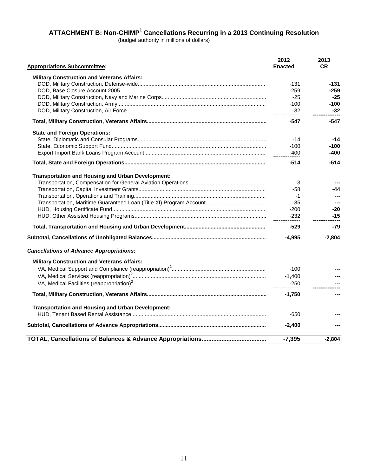(budget authority in millions of dollars)

| <b>Appropriations Subcommittee:</b>                      | 2012<br><b>Enacted</b>   | 2013<br><b>CR</b> |
|----------------------------------------------------------|--------------------------|-------------------|
| <b>Military Construction and Veterans Affairs:</b>       |                          |                   |
|                                                          | -131                     | -131              |
|                                                          | $-259$                   | -259              |
|                                                          | $-25$                    | $-25$             |
|                                                          | $-100$                   | $-100$            |
|                                                          | $-32$<br>--------------- | $-32$             |
|                                                          | -547                     | $-547$            |
| <b>State and Foreign Operations:</b>                     |                          |                   |
|                                                          | $-14$                    | $-14$             |
|                                                          | $-100$                   | $-100$            |
|                                                          | $-400$                   | -400              |
|                                                          | $-514$                   | $-514$            |
| <b>Transportation and Housing and Urban Development:</b> |                          |                   |
|                                                          | -3                       |                   |
|                                                          | -58                      | -44               |
|                                                          | $-1$                     |                   |
|                                                          | $-35$                    |                   |
|                                                          | $-200$                   | $-20$             |
|                                                          | $-232$                   | $-15$             |
|                                                          | -529                     | -79               |
|                                                          | $-4,995$                 | $-2,804$          |
| <b>Cancellations of Advance Appropriations:</b>          |                          |                   |
| <b>Military Construction and Veterans Affairs:</b>       |                          |                   |
|                                                          | $-100$                   |                   |
|                                                          | $-1,400$                 |                   |
|                                                          | $-250$                   |                   |
|                                                          |                          |                   |
|                                                          | $-1,750$                 |                   |
| <b>Transportation and Housing and Urban Development:</b> |                          |                   |
|                                                          | -650                     |                   |
|                                                          | $-2,400$                 |                   |
|                                                          | $-7,395$                 | $-2.804$          |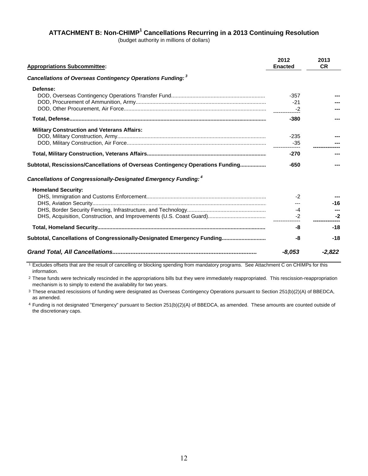(budget authority in millions of dollars)

| <b>Appropriations Subcommittee:</b>                                            | 2012<br><b>Enacted</b> | 2013<br><b>CR</b> |
|--------------------------------------------------------------------------------|------------------------|-------------------|
| Cancellations of Overseas Contingency Operations Funding: 3                    |                        |                   |
| Defense:                                                                       | $-357$<br>$-21$<br>-2  |                   |
|                                                                                | $-380$                 |                   |
| <b>Military Construction and Veterans Affairs:</b>                             | $-235$                 |                   |
|                                                                                | $-270$                 |                   |
| Subtotal, Rescissions/Cancellations of Overseas Contingency Operations Funding | $-650$                 |                   |
| Cancellations of Congressionally-Designated Emergency Funding: 4               |                        |                   |
| <b>Homeland Security:</b>                                                      | $-2$<br>$-4$<br>$-2$   | $-16$<br>-2       |
|                                                                                | -8                     | $-18$             |
| Subtotal, Cancellations of Congressionally-Designated Emergency Funding        | -8                     | $-18$             |
|                                                                                | -8.053                 | -2,822            |

1 Excludes offsets that are the result of cancelling or blocking spending from mandatory programs. See Attachment C on CHIMPs for this information.

2 These funds were technically rescinded in the appropriations bills but they were immediately reappropriated. This rescission-reappropriation mechanism is to simply to extend the availability for two years.

3 These enacted rescissions of funding were designated as Overseas Contingency Operations pursuant to Section 251(b)(2)(A) of BBEDCA, as amended.

4 Funding is not designated "Emergency" pursuant to Section 251(b)(2)(A) of BBEDCA, as amended. These amounts are counted outside of the discretionary caps.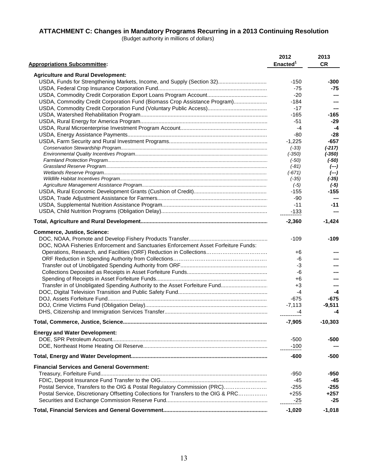#### **ATTACHMENT C: Changes in Mandatory Programs Recurring in a 2013 Continuing Resolution**

(Budget authority in millions of dollars)

| <b>Appropriations Subcommittee:</b>                                                 | 2012<br>Enacted <sup>1</sup> | 2013<br><b>CR</b> |
|-------------------------------------------------------------------------------------|------------------------------|-------------------|
| <b>Agriculture and Rural Development:</b>                                           |                              |                   |
| USDA, Funds for Strengthening Markets, Income, and Supply (Section 32)              | -150                         | -300              |
|                                                                                     | $-75$                        | -75               |
|                                                                                     | $-20$                        | ---               |
| USDA, Commodity Credit Corporation Fund (Biomass Crop Assistance Program)           | -184                         |                   |
|                                                                                     | $-17$                        |                   |
|                                                                                     | -165                         | -165              |
|                                                                                     | -51                          | $-29$             |
|                                                                                     | $-4$                         | -4                |
|                                                                                     | -80                          | -28               |
|                                                                                     | $-1,225$                     | -657              |
|                                                                                     |                              | $(-217)$          |
|                                                                                     | $(-33)$<br>$(-350)$          | $(-350)$          |
|                                                                                     | $(-50)$                      | $(-50)$           |
|                                                                                     | $(-81)$                      | $(--)$            |
|                                                                                     | (-671)                       | $(--)$            |
|                                                                                     | $(-35)$                      | $(-35)$           |
|                                                                                     | $(-5)$                       | $(-5)$            |
|                                                                                     | -155                         | -155              |
|                                                                                     | -90                          |                   |
|                                                                                     | $-11$                        | $-11$             |
|                                                                                     | $-133$                       | ---               |
|                                                                                     |                              |                   |
|                                                                                     | $-2,360$                     | $-1,424$          |
| <b>Commerce, Justice, Science:</b>                                                  |                              |                   |
|                                                                                     | -109                         | -109              |
| DOC, NOAA Fisheries Enforcement and Sanctuaries Enforcement Asset Forfeiture Funds: |                              |                   |
| Operations, Research, and Facilities (ORF) Reduction in Collections                 | +6                           |                   |
|                                                                                     | -6                           |                   |
|                                                                                     | -3                           |                   |
|                                                                                     | -6                           |                   |
|                                                                                     | +6                           |                   |
| Transfer in of Unobligated Spending Authority to the Asset Forfeiture Fund          | $+3$                         |                   |
|                                                                                     | -4                           | -4                |
|                                                                                     | $-675$                       | -675              |
|                                                                                     | $-7,113$                     | $-9,511$          |
|                                                                                     | -4                           | -4                |
| Total, Commerce, Justice, Science                                                   | $-7,905$                     | $-10,303$         |
|                                                                                     |                              |                   |
| <b>Energy and Water Development:</b>                                                |                              |                   |
|                                                                                     | $-500$                       | -500              |
|                                                                                     | $-100$                       |                   |
|                                                                                     | -600                         | -500              |
| <b>Financial Services and General Government:</b>                                   |                              |                   |
|                                                                                     | $-950$                       | -950              |
|                                                                                     | -45                          | -45               |
| Postal Service, Transfers to the OIG & Postal Regulatory Commission (PRC)           | $-255$                       | -255              |
| Postal Service, Discretionary Offsetting Collections for Transfers to the OIG & PRC | $+255$                       | +257              |
|                                                                                     | -25<br>-------------         | -25               |
|                                                                                     | $-1,020$                     | $-1,018$          |
|                                                                                     |                              |                   |